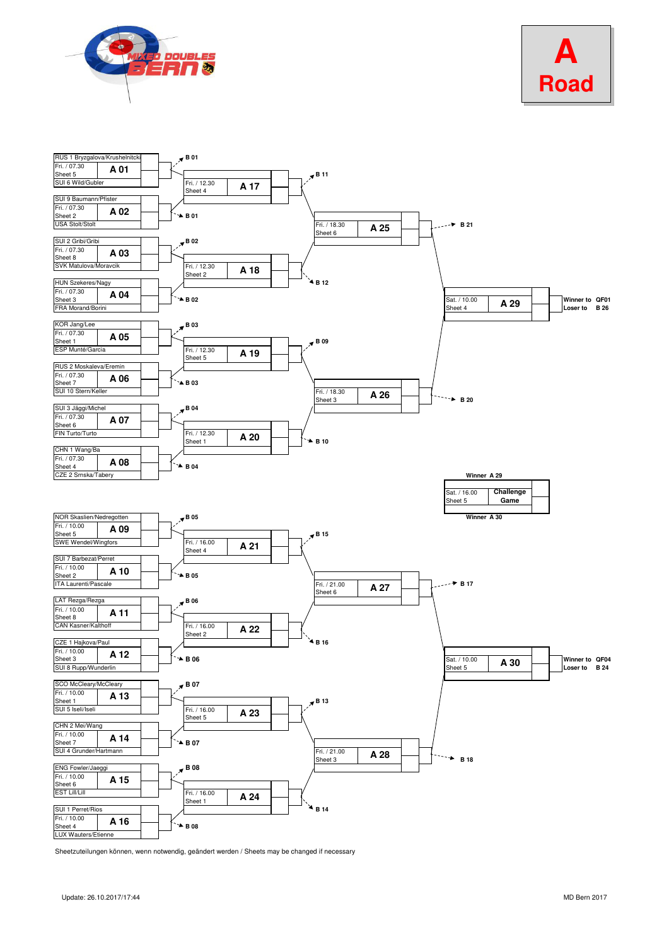



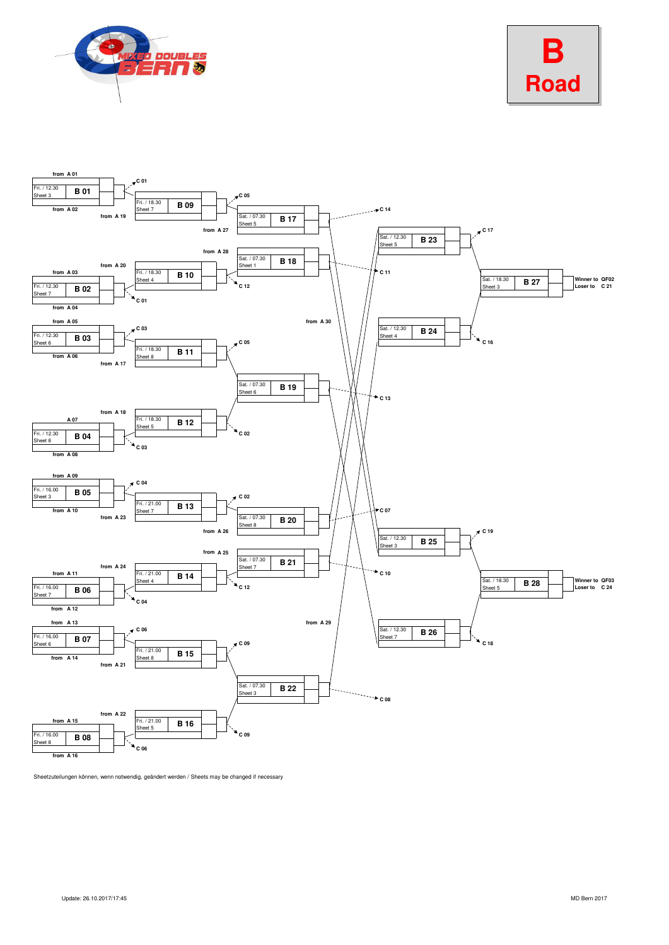



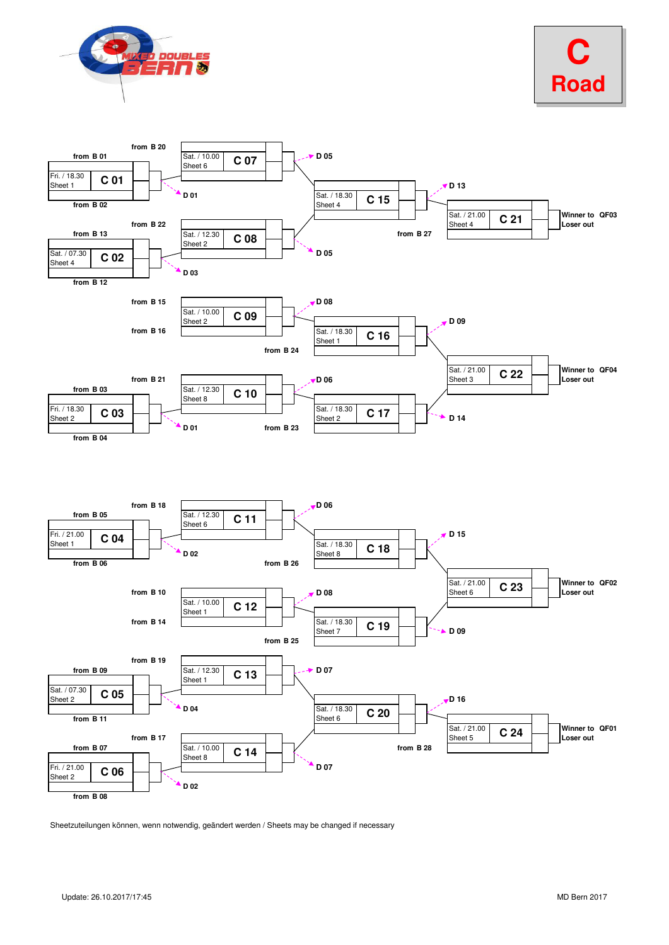



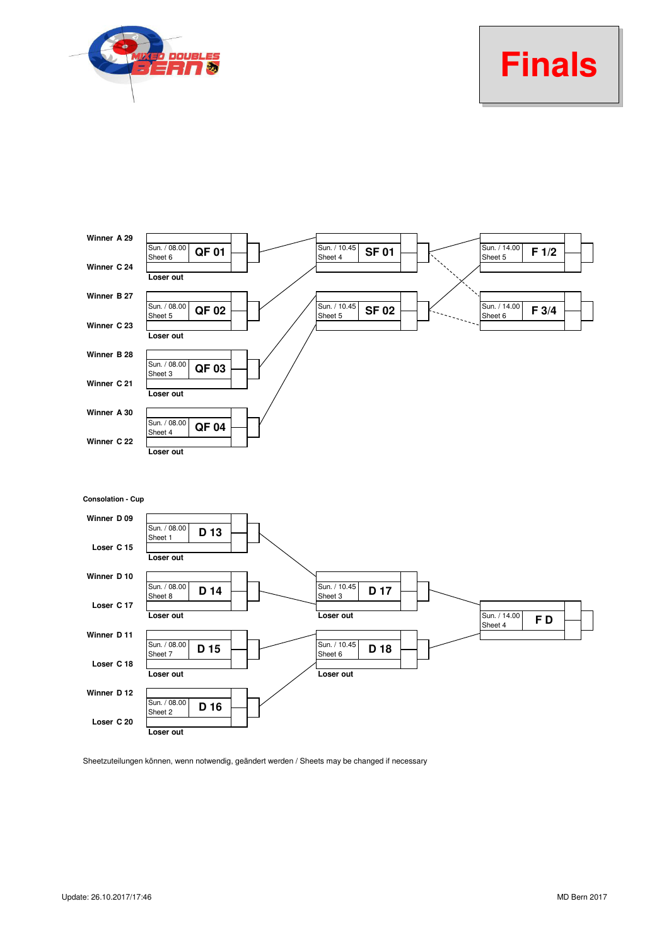

## **Finals**